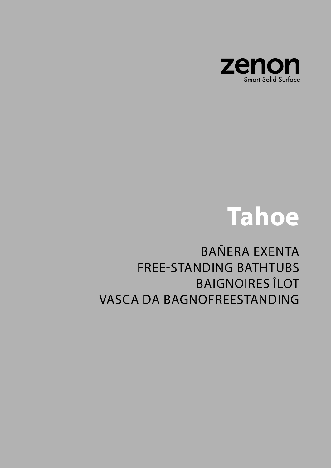

# Tahoe

## **BAÑERA EXENTA FREE-STANDING BATHTUBS BAIGNOIRES ÎLOT VASCA DA BAGNOFREESTANDING**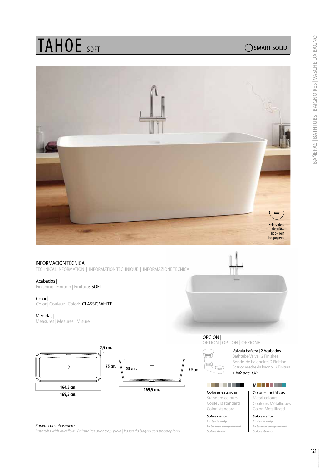## TAHOE SOFT

## SMART SOLID



## INFORMACIÓN TÉCNICA

TECHNICAL INFORMATION | INFORMATION TECHNIQUE | INFORMAZIONE TECNICA

### Acabados |

Finishing | Finition | Finitura: SOFT

### Color |

Color | Couleur | Colori: CLASSIC WHITE

## Medidas |

Measures | Mesures | Misure





#### *Bañera con rebosadero |*

*Bathtubs with overflow | Baignoires avec trop-plein | Vasca da bagno con troppopieno.*

## OPTION | OPTION | OPZIONE

Válvula bañera | 2 Acabados

**+** *info pag. 130* Bathtube Valve | 2 Finishes Bonde de baignoire | 2 Finition Scarico vasche da bagno | 2 Finitura

## 

Colores estándar Standard colours Couleurs standard Colori standard

#### *Sólo exterior Outside only Extérieur uniquement Solo esterno*

**M**

## Colores metálicos Metal colours

Couleurs Métalliques Colori Metallizzati

*Sólo exterior Outside only Extérieur uniquement Solo esterno*